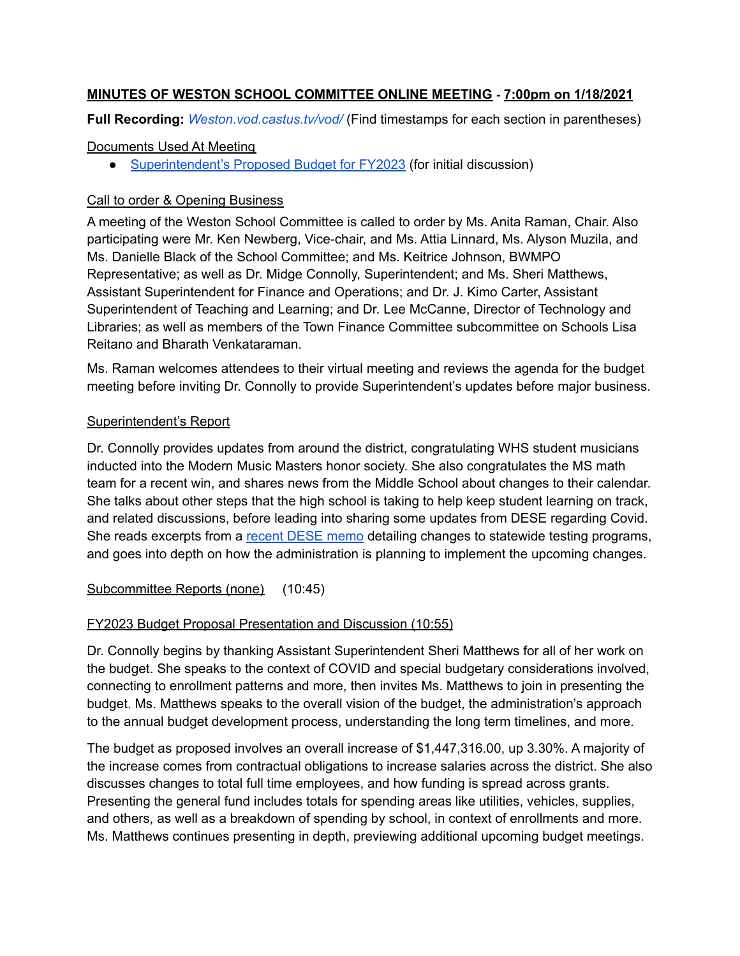### **MINUTES OF WESTON SCHOOL COMMITTEE ONLINE MEETING - 7:00pm on 1/18/2021**

**Full Recording:** *[Weston.vod.castus.tv/vod/](https://weston.vod.castus.tv/vod/)* (Find timestamps for each section in parentheses)

### Documents Used At Meeting

● [Superintendent's](https://www.westonschools.org/district/administration/finance-operations/financial-information/#toggle-id-1) Proposed Budget for FY2023 (for initial discussion)

### Call to order & Opening Business

A meeting of the Weston School Committee is called to order by Ms. Anita Raman, Chair. Also participating were Mr. Ken Newberg, Vice-chair, and Ms. Attia Linnard, Ms. Alyson Muzila, and Ms. Danielle Black of the School Committee; and Ms. Keitrice Johnson, BWMPO Representative; as well as Dr. Midge Connolly, Superintendent; and Ms. Sheri Matthews, Assistant Superintendent for Finance and Operations; and Dr. J. Kimo Carter, Assistant Superintendent of Teaching and Learning; and Dr. Lee McCanne, Director of Technology and Libraries; as well as members of the Town Finance Committee subcommittee on Schools Lisa Reitano and Bharath Venkataraman.

Ms. Raman welcomes attendees to their virtual meeting and reviews the agenda for the budget meeting before inviting Dr. Connolly to provide Superintendent's updates before major business.

## Superintendent's Report

Dr. Connolly provides updates from around the district, congratulating WHS student musicians inducted into the Modern Music Masters honor society. She also congratulates the MS math team for a recent win, and shares news from the Middle School about changes to their calendar. She talks about other steps that the high school is taking to help keep student learning on track, and related discussions, before leading into sharing some updates from DESE regarding Covid. She reads excerpts from a [recent](https://www.doe.mass.edu/covid19/on-desktop/2022-0118new-testing-program.pdf) DESE memo detailing changes to statewide testing programs, and goes into depth on how the administration is planning to implement the upcoming changes.

### Subcommittee Reports (none) (10:45)

# FY2023 Budget Proposal Presentation and Discussion (10:55)

Dr. Connolly begins by thanking Assistant Superintendent Sheri Matthews for all of her work on the budget. She speaks to the context of COVID and special budgetary considerations involved, connecting to enrollment patterns and more, then invites Ms. Matthews to join in presenting the budget. Ms. Matthews speaks to the overall vision of the budget, the administration's approach to the annual budget development process, understanding the long term timelines, and more.

The budget as proposed involves an overall increase of \$1,447,316.00, up 3.30%. A majority of the increase comes from contractual obligations to increase salaries across the district. She also discusses changes to total full time employees, and how funding is spread across grants. Presenting the general fund includes totals for spending areas like utilities, vehicles, supplies, and others, as well as a breakdown of spending by school, in context of enrollments and more. Ms. Matthews continues presenting in depth, previewing additional upcoming budget meetings.